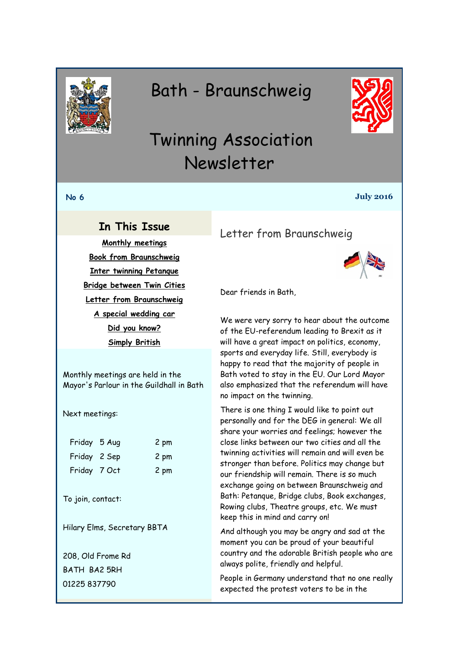<span id="page-0-0"></span>

# Bath - Braunschweig



# Twinning Association Newsletter

#### **No 6 July 2016**

## **In This Issue**

**[Monthly meetings](#page-0-0) [Book from Braunschweig](#page-1-0) [Inter twinning Petanque](#page-2-0) [Bridge between Twin Cities](#page-3-0) [Letter from Braunschweig](#page-0-1) [A special wedding car](#page-1-0) [Did you know?](#page-2-0) [Simply British](#page-3-0)**

Monthly meetings are held in the Mayor's Parlour in the Guildhall in Bath

Next meetings:

| Friday 5 Aug | 2 pm |
|--------------|------|
| Friday 2 Sep | 2 pm |
| Friday 7 Oct | 2 pm |

To join, contact:

Hilary Elms, Secretary BBTA

208, Old Frome Rd BATH BA2 5RH 01225 837790

<span id="page-0-1"></span>Letter from Braunschweig



Dear friends in Bath,

We were very sorry to hear about the outcome of the EU-referendum leading to Brexit as it will have a great impact on politics, economy, sports and everyday life. Still, everybody is happy to read that the majority of people in Bath voted to stay in the EU. Our Lord Mayor also emphasized that the referendum will have no impact on the twinning.

There is one thing I would like to point out personally and for the DEG in general: We all share your worries and feelings; however the close links between our two cities and all the twinning activities will remain and will even be stronger than before. Politics may change but our friendship will remain. There is so much exchange going on between Braunschweig and Bath: Petanque, Bridge clubs, Book exchanges, Rowing clubs, Theatre groups, etc. We must keep this in mind and carry on!

And although you may be angry and sad at the moment you can be proud of your beautiful country and the adorable British people who are always polite, friendly and helpful.

People in Germany understand that no one really expected the protest voters to be in the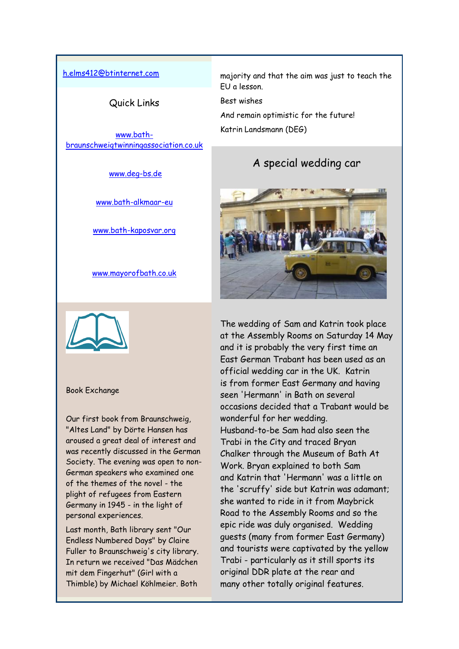#### <span id="page-1-0"></span>[h.elms412@btinternet.com](mailto:h.elms412@btinternet.com)

Quick Links

[www.bath](http://www.bath-braunschweigtwinningassociation.co.uk/)[braunschweigtwinningassociation.co.uk](http://www.bath-braunschweigtwinningassociation.co.uk/)

[www.deg-bs.de](http://www.deg-bs.de/)

[www.bath-alkmaar-eu](http://r20.rs6.net/tn.jsp?f=001XlwCNSyMiSOhu18EZ7RenqVFcRfHpRnhhv2TDpNPRDisiBpis2cOJiwPzofyLHYLMq_1BIFw3kqvMe0pjl5v-ATy0ipQxWcWjCAIJhMxcaWa2fBOlPdSBdWa0nHV637xX6ZBzZxqg5I0Ypj8Ttajp56ZRQPVPrOiMMmmcQs3j9s=&c=4SeMu4xy0t0G6Eap8JO1sB2CuNnUYVx4uqnmUB_kaAmq7rG0_dTdCA==&ch=3j2tSR_vy_9Ql_ot_BqTF3yJ9yFXYce4FNOY8SfVJCHF_qMwcutXtw==)

[www.bath-kaposvar.org](http://r20.rs6.net/tn.jsp?f=001XlwCNSyMiSOhu18EZ7RenqVFcRfHpRnhhv2TDpNPRDisiBpis2cOJiwPzofyLHYLZ4W-eVLyLyi2O0vGG7lG1KCF09DTIM-YjkNqo9UtDz7npAWVY0ckqyFgOkbX7ddz6ppU8BEHh3hoyp3121RlCGGUgQnLL6x3x_ZpPTNzQVCJ2IV9Dh22yw==&c=4SeMu4xy0t0G6Eap8JO1sB2CuNnUYVx4uqnmUB_kaAmq7rG0_dTdCA==&ch=3j2tSR_vy_9Ql_ot_BqTF3yJ9yFXYce4FNOY8SfVJCHF_qMwcutXtw==)

[www.mayorofbath.co.uk](http://www.mayorofbath.co.uk/)



#### Book Exchange

Our first book from Braunschweig, "Altes Land" by Dörte Hansen has aroused a great deal of interest and was recently discussed in the German Society. The evening was open to non-German speakers who examined one of the themes of the novel - the plight of refugees from Eastern Germany in 1945 - in the light of personal experiences.

Last month, Bath library sent "Our Endless Numbered Days" by Claire Fuller to Braunschweig's city library. In return we received "Das Mädchen mit dem Fingerhut" (Girl with a Thimble) by Michael Köhlmeier. Both

majority and that the aim was just to teach the EU a lesson.

Best wishes

And remain optimistic for the future! Katrin Landsmann (DEG)

## A special wedding car



The wedding of Sam and Katrin took place at the Assembly Rooms on Saturday 14 May and it is probably the very first time an East German Trabant has been used as an official wedding car in the UK. Katrin is from former East Germany and having seen 'Hermann' in Bath on several occasions decided that a Trabant would be wonderful for her wedding. Husband-to-be Sam had also seen the Trabi in the City and traced Bryan Chalker through the Museum of Bath At Work. Bryan explained to both Sam and Katrin that 'Hermann' was a little on the 'scruffy' side but Katrin was adamant; she wanted to ride in it from Maybrick Road to the Assembly Rooms and so the epic ride was duly organised. Wedding guests (many from former East Germany) and tourists were captivated by the yellow Trabi - particularly as it still sports its original DDR plate at the rear and many other totally original features.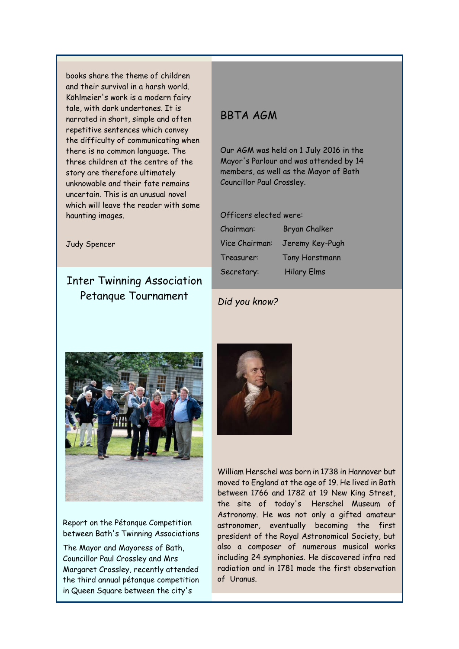<span id="page-2-0"></span>books share the theme of children and their survival in a harsh world. Köhlmeier's work is a modern fairy tale, with dark undertones. It is narrated in short, simple and often repetitive sentences which convey the difficulty of communicating when there is no common language. The three children at the centre of the story are therefore ultimately unknowable and their fate remains uncertain. This is an unusual novel which will leave the reader with some haunting images.

Judy Spencer

## Inter Twinning Association Petanque Tournament

## BBTA AGM

Our AGM was held on 1 July 2016 in the Mayor's Parlour and was attended by 14 members, as well as the Mayor of Bath Councillor Paul Crossley.

#### Officers elected were:

| Chairman:      | Bryan Chalker         |
|----------------|-----------------------|
| Vice Chairman: | Jeremy Key-Pugh       |
| Treasurer:     | <b>Tony Horstmann</b> |
| Secretary:     | <b>Hilary Elms</b>    |

#### *Did you know?*



#### Report on the Pétanque Competition between Bath's Twinning Associations

The Mayor and Mayoress of Bath, Councillor Paul Crossley and Mrs Margaret Crossley, recently attended the third annual pétanque competition in Queen Square between the city's



William Herschel was born in 1738 in Hannover but moved to England at the age of 19. He lived in Bath between 1766 and 1782 at 19 New King Street, the site of today's Herschel Museum of Astronomy. He was not only a gifted amateur astronomer, eventually becoming the first president of the Royal Astronomical Society, but also a composer of numerous musical works including 24 symphonies. He discovered infra red radiation and in 1781 made the first observation of Uranus.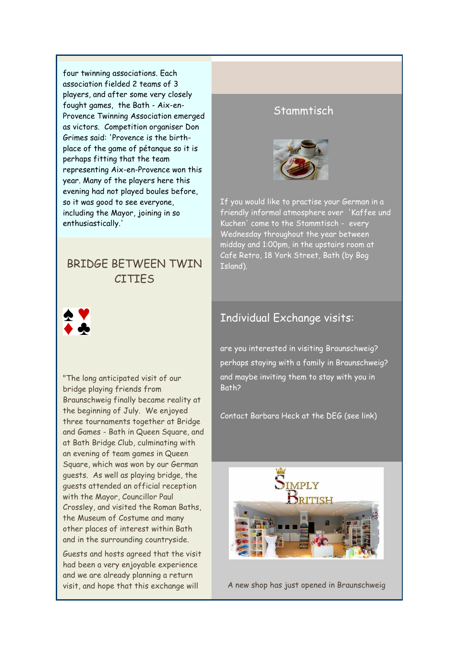<span id="page-3-0"></span>four twinning associations. Each association fielded 2 teams of 3 players, and after some very closely fought games, the Bath - Aix-en-Provence Twinning Association emerged as victors. Competition organiser Don Grimes said: 'Provence is the birthplace of the game of pétanque so it is perhaps fitting that the team representing Aix-en-Provence won this year. Many of the players here this evening had not played boules before, so it was good to see everyone, including the Mayor, joining in so enthusiastically.'

## BRIDGE BETWEEN TWIN **CITIFS**



"The long anticipated visit of our bridge playing friends from Braunschweig finally became reality at the beginning of July. We enjoyed three tournaments together at Bridge and Games - Bath in Queen Square, and at Bath Bridge Club, culminating with an evening of team games in Queen Square, which was won by our German guests. As well as playing bridge, the guests attended an official reception with the Mayor, Councillor Paul Crossley, and visited the Roman Baths, the Museum of Costume and many other places of interest within Bath and in the surrounding countryside.

Guests and hosts agreed that the visit had been a very enjoyable experience and we are already planning a return visit, and hope that this exchange will

## Stammtisch



If you would like to practise your German in a friendly informal atmosphere over 'Kaffee und Kuchen' come to the Stammtisch - every Wednesday throughout the year between midday and 1:00pm, in the upstairs room at Cafe Retro, 18 York Street, Bath (by Bog Island).

## Individual Exchange visits:

are you interested in visiting Braunschweig? perhaps staying with a family in Braunschweig? and maybe inviting them to stay with you in Bath?

Contact Barbara Heck at the DEG (see link)



A new shop has just opened in Braunschweig